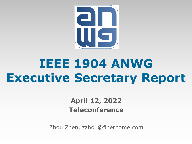

# **IEEE 1904 ANWG Executive Secretary Report**

### **April 12, 2022 Teleconference**

Zhou Zhen, zzhou@fiberhome.com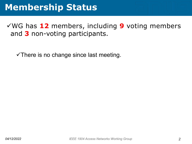### **Membership Status**

√WG has 12 members, including 9 voting members and **3** non-voting participants.

 $\checkmark$  There is no change since last meeting.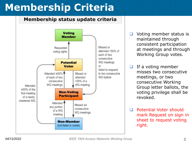## **Membership Criteria**

#### Membership status update criteria



- Voting member status is maintained through consistent participation at meetings and through Working Group votes.
- $\Box$  If a voting member misses two consecutive meetings, or two consecutive Working Group letter ballots, the voting privilege shall be revoked.
- Potential Voter should mark Request on sign in sheet to request voting right.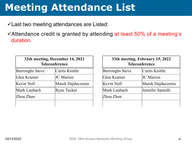### **Meeting Attendance List**

 $\checkmark$  Last two meeting attendances are Listed:

 $\checkmark$  Attendance credit is granted by attending at least 50% of a meeting's duration.

|                        | 32th meeting, December 14, 2021<br><b>Teleconference</b> | $33th$ m            |
|------------------------|----------------------------------------------------------|---------------------|
| <b>Burroughs Steve</b> | Curtis Knittle                                           | <b>Burroughs St</b> |
| Glen Kramer            | <b>JC</b> Marion                                         | Glen Kramer         |
| Kevin Noll             | Marek Hajduczenia                                        | Kevin Noll          |
| Mark Laubach           | <b>Ryan Tucker</b>                                       | Mark Laubac         |
| Zhou Zhen              |                                                          | Zhou Zhen           |
|                        |                                                          |                     |

| 33th meeting, February 15, 2022<br><b>Teleconference</b> |                   |
|----------------------------------------------------------|-------------------|
| <b>Burroughs Steve</b>                                   | Curtis Knittle    |
| Glen Kramer                                              | <b>JC</b> Marion  |
| Kevin Noll                                               | Marek Hajduczenia |
| Mark Laubach                                             | Jennifer Santulli |
| Zhou Zhen                                                |                   |
|                                                          |                   |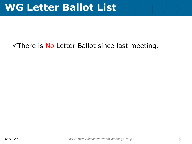### $\checkmark$ There is No Letter Ballot since last meeting.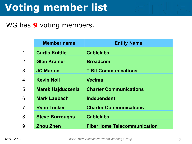## **Voting member list**

#### WG has **9** voting members.

|                 | <b>Member name</b>       | <b>Entity Name</b>                 |
|-----------------|--------------------------|------------------------------------|
| $\overline{1}$  | <b>Curtis Knittle</b>    | <b>Cablelabs</b>                   |
| $\overline{2}$  | <b>Glen Kramer</b>       | <b>Broadcom</b>                    |
| 3               | <b>JC Marion</b>         | <b>TiBit Communications</b>        |
| $\overline{4}$  | <b>Kevin Noll</b>        | <b>Vecima</b>                      |
| 5               | <b>Marek Hajduczenia</b> | <b>Charter Communications</b>      |
| $6\phantom{1}6$ | <b>Mark Laubach</b>      | Independent                        |
| $\overline{7}$  | <b>Ryan Tucker</b>       | <b>Charter Communications</b>      |
| 8               | <b>Steve Burroughs</b>   | <b>Cablelabs</b>                   |
| 9               | <b>Zhou Zhen</b>         | <b>FiberHome Telecommunication</b> |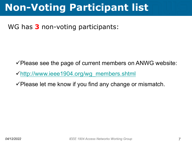### **Non-Voting Participant list**

#### WG has **3** non-voting participants:

 $\checkmark$  Please see the page of current members on ANWG website:

 $\checkmark$ http://www.ieee1904.org/wg\_members.shtml

 $\checkmark$  Please let me know if you find any change or mismatch.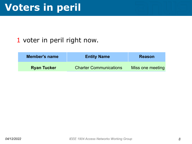### **Voters in peril**

#### 1 voter in peril right now.

| <b>Member's name</b> | <b>Entity Name</b>            | <b>Reason</b>    |
|----------------------|-------------------------------|------------------|
| <b>Ryan Tucker</b>   | <b>Charter Communications</b> | Miss one meeting |